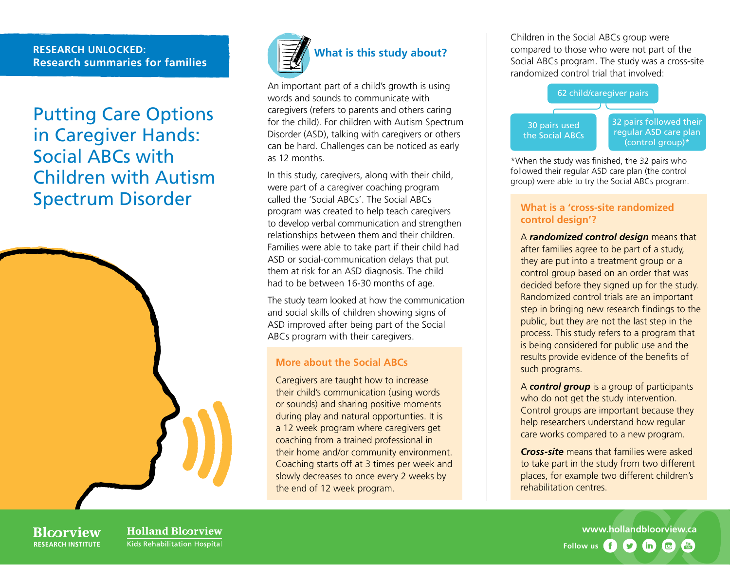### **RESEARCH UNLOCKED: Research summaries for families**

Putting Care Options in Caregiver Hands: Social ABCs with Children with Autism Spectrum Disorder





An important part of a child's growth is using words and sounds to communicate with caregivers (refers to parents and others caring for the child). For children with Autism Spectrum Disorder (ASD), talking with caregivers or others can be hard. Challenges can be noticed as early as 12 months.

In this study, caregivers, along with their child, were part of a caregiver coaching program called the 'Social ABCs'. The Social ABCs program was created to help teach caregivers to develop verbal communication and strengthen relationships between them and their children. Families were able to take part if their child had ASD or social-communication delays that put them at risk for an ASD diagnosis. The child had to be between 16-30 months of age.

The study team looked at how the communication and social skills of children showing signs of ASD improved after being part of the Social ABCs program with their caregivers.

### **More about the Social ABCs**

Caregivers are taught how to increase their child's communication (using words or sounds) and sharing positive moments during play and natural opportunties. It is a 12 week program where caregivers get coaching from a trained professional in their home and/or community environment. Coaching starts off at 3 times per week and slowly decreases to once every 2 weeks by the end of 12 week program.

Children in the Social ABCs group were compared to those who were not part of the Social ABCs program. The study was a cross-site randomized control trial that involved:



\*When the study was finished, the 32 pairs who followed their regular ASD care plan (the control group) were able to try the Social ABCs program.

### **What is a 'cross-site randomized control design'?**

A *randomized control design* means that after families agree to be part of a study, they are put into a treatment group or a control group based on an order that was decided before they signed up for the study. Randomized control trials are an important step in bringing new research findings to the public, but they are not the last step in the process. This study refers to a program that is being considered for public use and the results provide evidence of the benefits of such programs.

A *control group* is a group of participants who do not get the study intervention. Control groups are important because they help researchers understand how regular care works compared to a new program.

*Cross-site* means that families were asked to take part in the study from two different places, for example two different children's rehabilitation centres.

**Blcorview RESEARCH INSTITUTE** 

**Holland Bloorview** Kids Rehabilitation Hospital

**[www.hollandbloorview.ca](http://www.hollandbloorview.ca) Follow us**9  $(in)$  $\Box$  $\frac{V}{I}$